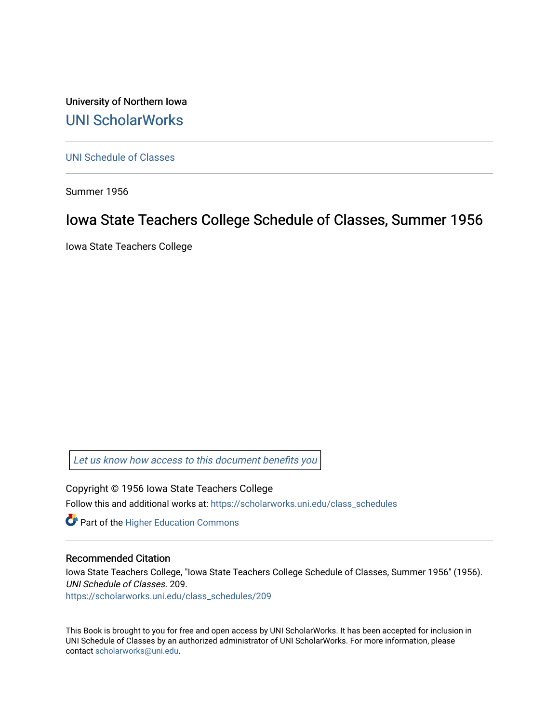University of Northern Iowa [UNI ScholarWorks](https://scholarworks.uni.edu/) 

[UNI Schedule of Classes](https://scholarworks.uni.edu/class_schedules) 

Summer 1956

# Iowa State Teachers College Schedule of Classes, Summer 1956

Iowa State Teachers College

[Let us know how access to this document benefits you](https://scholarworks.uni.edu/feedback_form.html) 

Copyright © 1956 Iowa State Teachers College Follow this and additional works at: [https://scholarworks.uni.edu/class\\_schedules](https://scholarworks.uni.edu/class_schedules?utm_source=scholarworks.uni.edu%2Fclass_schedules%2F209&utm_medium=PDF&utm_campaign=PDFCoverPages)

**Part of the Higher Education Commons** 

# Recommended Citation

Iowa State Teachers College, "Iowa State Teachers College Schedule of Classes, Summer 1956" (1956). UNI Schedule of Classes. 209.

[https://scholarworks.uni.edu/class\\_schedules/209](https://scholarworks.uni.edu/class_schedules/209?utm_source=scholarworks.uni.edu%2Fclass_schedules%2F209&utm_medium=PDF&utm_campaign=PDFCoverPages) 

This Book is brought to you for free and open access by UNI ScholarWorks. It has been accepted for inclusion in UNI Schedule of Classes by an authorized administrator of UNI ScholarWorks. For more information, please contact [scholarworks@uni.edu.](mailto:scholarworks@uni.edu)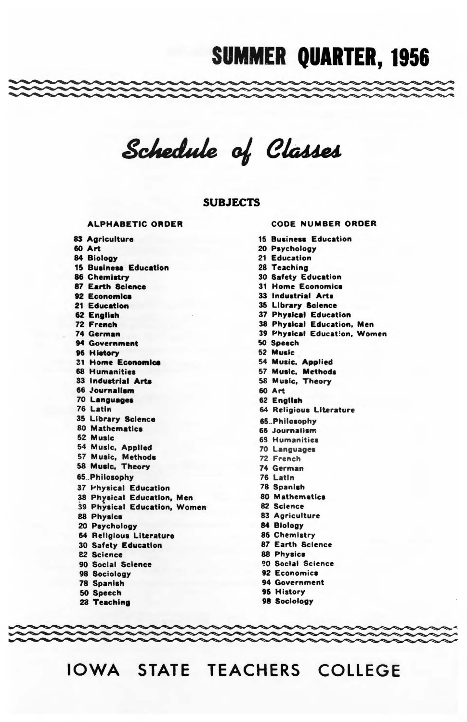# **SUMMER QUARTER, 1956**

Schedule of Classes

### **SUBJECTS**

#### **ALPHABETIC ORDER**

83 Agriculture **60 Art** 84 Biology 15 Business Education 86 Chemistry 87 Earth Science 92 Economics 21 Education 62 English 72 French 74 German 94 Government 96 History 31 Home Economica 68 Humanities 33 Industrial Arts 66 Journalism 70 Languages 76 Latin 35 Library Science 80 Mathematics 52 Music 54 Music, Applied 57 Music, Methods 58 Music, Theory 65.Philosophy **37 Physical Education** 38 Physical Education, Men 39 Physical Education, Women 88 Physics 20 Psychology 64 Religious Literature 30 Safety Education **22 Science** 90 Social Science 98 Sociology 78 Spanish 50 Speech 28 Teaching

**CODE NUMBER ORDER 15 Business Education** 20 Psychology 21 Education 28 Teaching 30 Safety Education **31 Home Economics** 33 Industrial Arts 35 Library Science **37 Physical Education** 38 Physical Education, Men 39 Physical Education, Women 50 Speech 52 Music 54 Music, Applied 57 Music, Methods 58 Music, Theory **60 Art** 62 English 64 Religious Literature 65.Philosophy 66 Journalism **69 Humanities** 70 Languages 72 French 74 German 76 Latin 78 Spanish 80 Mathematics 82 Science 83 Agriculture 84 Biology 86 Chemistry 87 Earth Science **88 Physics** 90 Social Science 92 Economics 94 Government

- 96 History
- 98 Sociology

IOWA STATE TEACHERS COLLEGE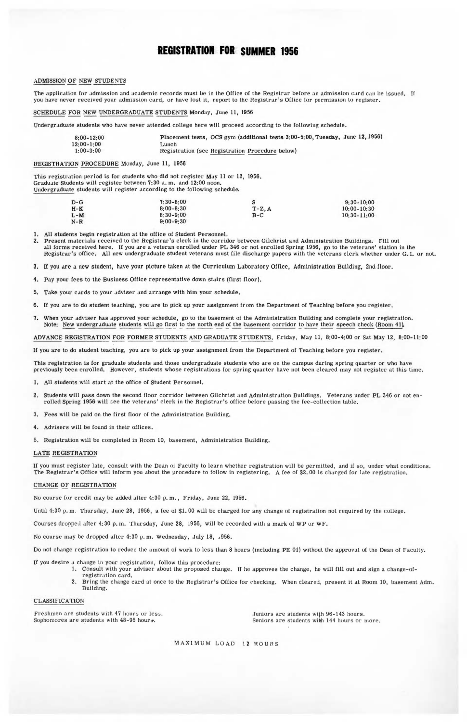### **REGISTRATION FOR SUMMER 1956**

#### ADMISSION OF NEW STUDENTS

The application for admission and academic records must be in the Office of the Registrar before an admission card can be issued. If you have never received your admission card, or have lost it, report to the Registrar's Office for permission to register.

#### SCHEDULE FOR NEW UNDERGRADUATE STUDENTS Monday, June II, 1956

Undergraduate students who have never attended college here will proceed according to the following schedule.

| $8:00 - 12:00$ | Placement tests, OCS gym (additional tests 3:00-5:00, Tuesday, June 12, 1956) |
|----------------|-------------------------------------------------------------------------------|
| $12:00 - 1:00$ | Lunch                                                                         |
| $1:00 - 3:00$  | Registration (see Registration Procedure below)                               |

REGISTRATION PROCEDURE Monday, June 11, 1956

This registration period is for students who did not register May 11 or 12, 1956. Graduate Students will register between 7:30 a.m. and 12:00 noon.

Undergraduate students will register according to the following schedule.

| $D-G$ | $7:30 - 8:00$ |         | $9:30 - 10:00$  |
|-------|---------------|---------|-----------------|
| $H-K$ | $8:00 - 8:30$ | $T-Z.A$ | $10:00 - 10:30$ |
| $L-M$ | $8:30 - 9:00$ | $B-C$   | $10:30 - 11:00$ |
| $N-R$ | $9:00 - 9:30$ |         |                 |

1. All students begin registration at the office of Student Personnel.

- 2. Present materials received to the Registrar's clerk in the corridor between Gilchrist and Administration Buildings, Fill out<br>all forms received here, If you are a veteran enrolled under PL 346 or not enrolled Spring 195
- 3. If you are a new student, have your picture taken at the Curriculum Laboratory Office, Administration Building, 2nd floor.
- 4. Pay your fees to the Business Office representative down stairs (first floor).
- 5. Take your cards to your .ldviser and arrange with him your schedule.
- 6. If you are to do student teaching, you are to pick up your assignment from the Department of Teaching before you register.
- 7. When your adviser has approved your schedule, go to the basement of the Administration Building and complete your registration. Note: New undergraduate students will go first to the north end of the basement corridor to have their speech check (Room 41).

ADVANCE REGISTRATION FOR FORMER STUDENTS AND GRADUATE STUDENTS, Friday, May 11, 8:00-4:00 or Sal May 12, 8:00-11:00

If you are to do student teaching, you are to pick up your assignment from the Department of Teaching before you register.

This registration is for graduate students and those undergraduate students who are on the campus during spring quarter or who have previously been enrolled. However, students whose registrations for spring quarter have not been cleared may not register at this time.

- 1. All students will start at the office of Student Personnel.
- 2. Students will pass down the second floor corridor between Gilchrist and Administration Buildings. Veterans under PL 346 or not enrolled Spring 1956 will see the veterans' clerk in the Registrar's office before passing the fee-collection table.
- 3. Fees will be paid on the first floor of the Administration Building.
- 4. Advisers will be found in their offices.
- 5. Registration will be completed in Room 10, basement, Administration Building.

#### LATE REGISTRATION

If you must register late, consult with the Dean oi Faculty to learn whether registration will be permitted, and if so, under what conditions. The Registrar's Office will inform you about the procedure to follow in registering. A fee of \$2,00 is charged for late registration,

#### CHANGE OF REGISTRATION

No course for credit may be added after 4:30 p.m., Friday, June 22, 1956.

Until 4:30 p. m. Thursday, June 28, 1956 , a fee of \$1. 00 will be charged for any change of registration not required by the college.

Courses dropped after 4:30 p.m. Thursday, June 28, 1956, will be recorded with a mark of WP or WF.

No course may be dropped after 4:30 p.m. Wednesday, July 18, 1956.

Do not change registration to reduce the amount of work to less than 8 hours (including PE 01) without the approval of the Dean of Faculty.

- If you desire a change in your registration, follow this procedure:
	- 1. Consult with your adviser about the proposed change. If he approves the change, he will fill out and sign a change-ofregistration card.
		- 2. Bring the change card at once to the Registrar's Office for checking. When cleared, present it at Room 10, basement Adm. Building.

CLASSIFICATION

Freshmen are students with 47 hours or less.<br>Sophomores are students with 48-95 hours. <br>Seniors are students with 144 hours or

Seniors are students with 144 hours or more.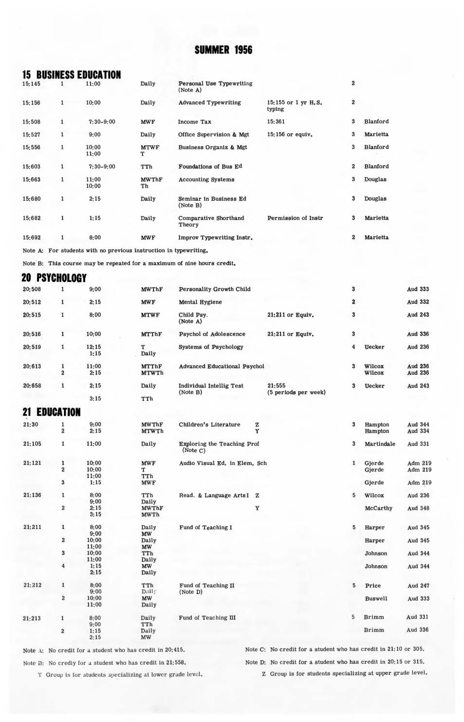# **15 BUSINESS EDUCATION**

| 19.149 | ı            | 11:00          | Dally              | Let solid to be the attitude<br>(Note A) |                               | ۰                       |          |
|--------|--------------|----------------|--------------------|------------------------------------------|-------------------------------|-------------------------|----------|
| 15:156 | 1            | 10:00          | Daily              | <b>Advanced Typewriting</b>              | 15:155 or 1 yr H.S.<br>typing | $\overline{\mathbf{2}}$ |          |
| 15:508 | 1            | $7:30-9:00$    | <b>MWF</b>         | <b>Income Tax</b>                        | 15:361                        | 3                       | Blanford |
| 15:527 | 1            | 9:00           | Daily              | Office Supervision & Mgt                 | 15:156 or equiv.              | 3                       | Marietta |
| 15:556 | $\mathbf{1}$ | 10:00<br>11:00 | <b>MTWF</b><br>т   | Business Organiz & Mgt                   |                               | 3                       | Blanford |
| 15:603 | 1            | $7:30-9:00$    | TTh                | Foundations of Bus Ed                    |                               | $\overline{2}$          | Blanford |
| 15:663 | 1            | 11:00<br>10:00 | <b>MWThF</b><br>Th | <b>Accounting Systems</b>                |                               | 3                       | Douglas  |
| 15:680 | 1            | 2:15           | Daily              | Seminar in Business Ed<br>(Note B)       |                               | 3                       | Douglas  |
| 15:682 | 1            | 1:15           | Daily              | Comparative Shorthand<br>Theory          | Permission of Instr           | 3                       | Marietta |
| 15:692 | 1            | 8:00           | <b>MWF</b>         | Improv Typewriting Instr.                |                               | $\overline{2}$          | Marietta |
|        |              |                |                    |                                          |                               |                         |          |

Note A: For students with no previous instruction in typewriting.

Note B: This course may be repeated for a maximum of nine hours credit.

**20 PSYCHOLOGY** 

| 20:508              | 1                            | 9:00         | <b>MWThF</b>                 | Personality Growth Child                |        |                      | 3                       |                    | Aud 333                          |
|---------------------|------------------------------|--------------|------------------------------|-----------------------------------------|--------|----------------------|-------------------------|--------------------|----------------------------------|
| 20:512              | $\mathbf{1}$                 | 2:15         | <b>MWF</b>                   | <b>Mental Hygiene</b>                   |        |                      | $\overline{\mathbf{2}}$ |                    | Aud 332                          |
| 20:515              | $\mathbf{1}$                 | 8:00         | <b>MTWF</b>                  | Child Psy.<br>(Note A)                  |        | 21:211 or Equiv.     | 3                       |                    | Aud 243                          |
| 20:516              | $\mathbf{1}$                 | 10:00        | <b>MTThF</b>                 | Psychol of Adolescence                  |        | $21:211$ or Equiv.   | 3                       |                    | <b>Aud 336</b>                   |
| 20:519              | $\mathbf 1$                  | 12:15        | T                            | <b>Systems of Psychology</b>            |        |                      | $\overline{4}$          | <b>Uecker</b>      | <b>Aud 236</b>                   |
|                     |                              | 1:15         | Daily                        |                                         |        |                      |                         |                    |                                  |
| 20:613              | $\mathbf{1}$                 | 11:00        | <b>MTThF</b>                 | <b>Advanced Educational Psychol</b>     |        |                      | 3                       | Wilcox             | Aud 236                          |
|                     | $\overline{2}$               | 2:15         | <b>MTWTh</b>                 |                                         |        |                      |                         | Wilcox             | Aud 236                          |
| 20:658              | $\mathbf{1}$                 | 2:15         | Daily                        | <b>Individual Intellig Test</b>         |        | 21:555               | 3                       | <b>Uecker</b>      | <b>Aud 243</b>                   |
|                     |                              | 3:15         | TTh                          | (Note B)                                |        | (5 periods per week) |                         |                    |                                  |
| <b>21 EDUCATION</b> |                              |              |                              |                                         |        |                      |                         |                    |                                  |
|                     |                              |              |                              |                                         |        |                      |                         |                    |                                  |
| 21:30               | 1<br>$\overline{\mathbf{2}}$ | 9:00<br>2:15 | <b>MWThF</b><br><b>MTWTh</b> | Children's Literature                   | z<br>Y |                      | $\mathbf{3}$            | Hampton<br>Hampton | <b>Aud 344</b><br><b>Aud 334</b> |
| 21:105              | $\mathbf{1}$                 | 11:00        | Daily                        | Exploring the Teaching Prof<br>(Note C) |        |                      | 3                       | Martindale         | Aud 331                          |
| 21:121              | $\mathbf{1}$                 | 10:00        | <b>MWF</b>                   | Audio Visual Ed. in Elem. Sch           |        |                      | $\mathbf{1}$            | Gierde             | Adm 219                          |
|                     | $\bf{2}$                     | 10:00        | т                            |                                         |        |                      |                         | Gierde             | Adm 219                          |
|                     |                              | 11:00        | TTh                          |                                         |        |                      |                         |                    |                                  |
|                     | $\bf{3}$                     | 1:15         | <b>MWF</b>                   |                                         |        |                      |                         | Gjerde             | Adm 219                          |
| 21:136              | $\mathbf 1$                  | 8:00         | TTh                          | Read. & Language Arts I Z               |        |                      | 5                       | Wilcox             | <b>Aud 236</b>                   |
|                     |                              | 9:00         | Daily                        |                                         |        |                      |                         |                    |                                  |
|                     | $\bf{2}$                     | 2:15         | <b>MWThF</b>                 |                                         | Y      |                      |                         | McCarthy           | Aud 348                          |
|                     |                              | 3:15         | <b>MWTh</b>                  |                                         |        |                      |                         |                    |                                  |
| 21:211              | $\mathbf{1}$                 | 8:00         | Daily                        | Fund of Teaching I                      |        |                      | 5                       | Harper             | Aud 345                          |
|                     |                              | 9:00         | <b>MW</b>                    |                                         |        |                      |                         |                    |                                  |
|                     | $\overline{\mathbf{2}}$      | 10:00        | Daily                        |                                         |        |                      |                         | Harper             | Aud 345                          |
|                     |                              | 11:00        | <b>MW</b>                    |                                         |        |                      |                         |                    |                                  |
|                     | $\bf{3}$                     | 10:00        | TTh                          |                                         |        |                      |                         | Johnson            | Aud 344                          |
|                     |                              | 11:00        | Daily                        |                                         |        |                      |                         |                    |                                  |
|                     | $\overline{4}$               | 1:15         | <b>MW</b>                    |                                         |        |                      |                         | Johnson            | Aud 344                          |
|                     |                              | 2:15         | Daily                        |                                         |        |                      |                         |                    |                                  |
| 21:212              | $\mathbf 1$                  | 8:00         | TTh                          | Fund of Teaching II                     |        |                      | 5                       | Price              | Aud 247                          |
|                     |                              | 9:00         | Daily                        | (Note D)                                |        |                      |                         |                    |                                  |
|                     | $\bf{2}$                     | 10:00        | <b>MW</b>                    |                                         |        |                      |                         | <b>Buswell</b>     | Aud 333                          |
|                     |                              | 11:00        | Daily                        |                                         |        |                      |                         |                    |                                  |
| 21:213              | $\mathbf{1}$                 | 8:00         | Daily                        | Fund of Teaching III                    |        |                      | 5                       | <b>Brimm</b>       | Aud 331                          |
|                     |                              | 9:00         | TTh                          |                                         |        |                      |                         |                    |                                  |
|                     | $\overline{2}$               | 1:15         | Daily                        |                                         |        |                      |                         | <b>Brimm</b>       | Aud 336                          |
|                     |                              | 2:15         | MW                           |                                         |        |                      |                         |                    |                                  |

Note  $\Lambda$ : No credit for a student who has credit in 20:415.

Note C: No credit for a student who has credit in 21:10 or 305. Note D: No credit for a student who has credit in 20:15 or 315.

Note B: No crediy for a student who has credit in 21:558.

Y Group is for students specializing at lower grade level.

Z Group is for students specializing at upper grade level.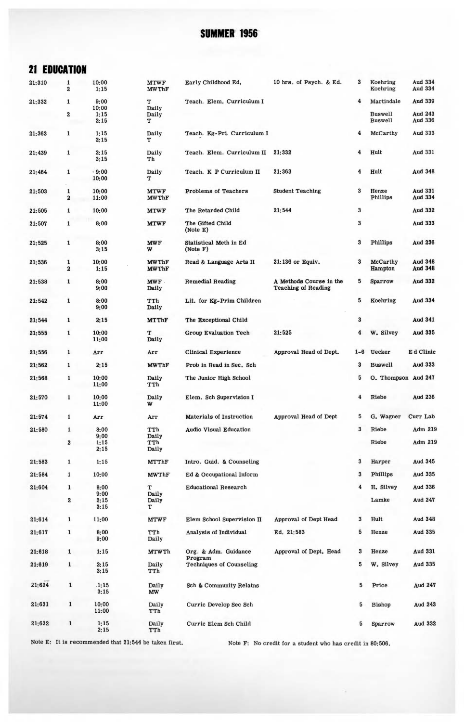# **21 EDUCATION**

| 21:310 | 1<br>$\boldsymbol{2}$            | 10:00<br>1:15        | <b>MTWF</b><br><b>MWThF</b>  | Early Childhood Ed.                        | 10 hrs. of Psych. & Ed.                               | 3                       | Koehring<br>Koehring             | Aud 334<br><b>Aud 334</b> |
|--------|----------------------------------|----------------------|------------------------------|--------------------------------------------|-------------------------------------------------------|-------------------------|----------------------------------|---------------------------|
| 21:332 | 1                                | 9:00                 | т                            | Teach. Elem. Curriculum I                  |                                                       | 4                       | Martindale                       | Aud 339                   |
|        |                                  | 10:00                | Daily                        |                                            |                                                       |                         |                                  |                           |
|        | 2                                | 1:15<br>2:15         | Daily<br>т                   |                                            |                                                       |                         | <b>Buswell</b><br><b>Buswell</b> | Aud 243<br>Aud 336        |
| 21:363 | 1                                | 1:15<br>2:15         | Daily<br>т                   | Teach. Kg-Pri. Curriculum I                |                                                       | 4                       | McCarthy                         | Aud 333                   |
| 21:439 | 1                                | 2:15<br>3:15         | Daily<br>Th                  | Teach. Elem. Curriculum II                 | 21:332                                                | 4                       | Hult                             | <b>Aud 331</b>            |
| 21:464 | 1                                | .9:00<br>10:00       | Daily<br>т                   | Teach. K P Curriculum II                   | 21:363                                                | 4                       | Hult                             | Aud 348                   |
| 21:503 | $\mathbf{1}$<br>$\boldsymbol{2}$ | 10;00<br>11:00       | <b>MTWF</b><br><b>MWThF</b>  | Problems of Teachers                       | <b>Student Teaching</b>                               | 3                       | Henze<br>Phillips                | Aud 331<br>Aud 334        |
| 21:505 | $\mathbf{1}$                     | 10:00                | <b>MTWF</b>                  | The Retarded Child                         | 21:544                                                | $\boldsymbol{3}$        |                                  | Aud 332                   |
| 21:507 | $\mathbf 1$                      | 8:00                 | <b>MTWF</b>                  | The Gifted Child<br>(Note E)               |                                                       | $\bf{3}$                |                                  | Aud 333                   |
| 21:525 | 1                                | 8:00<br>3:15         | <b>MWF</b><br>W              | Statistical Meth in Ed<br>(Note F)         |                                                       | 3                       | Phillips                         | Aud 236                   |
| 21:536 | 1<br>$\overline{2}$              | 10:00<br>1:15        | <b>MWThF</b><br><b>MWThF</b> | Read & Language Arts II                    | 21:136 or Equiv.                                      | 3                       | McCarthy<br>Hampton              | Aud 348<br><b>Aud 348</b> |
| 21:538 | 1                                | 8:00<br>9:00         | <b>MWF</b><br>Daily          | <b>Remedial Reading</b>                    | A Methods Course in the<br><b>Teaching of Reading</b> | 5                       | Sparrow                          | Aud 332                   |
| 21:542 | 1                                | 8:00<br>9:00         | TTh<br>Daily                 | Lit. for Kg-Prim Children                  |                                                       | 5                       | Koehring                         | Aud 334                   |
| 21:544 | $\mathbf{1}$                     | 2:15                 | <b>MTThF</b>                 | The Exceptional Child                      |                                                       | 3                       |                                  | Aud 341                   |
| 21:555 | 1                                | 10:00<br>11:00       | т<br>Daily                   | Group Evaluation Tech                      | 21:525                                                | 4                       | W. Silvey                        | Aud 335                   |
| 21:556 | 1                                | Arr                  | Arr                          | <b>Clinical Experience</b>                 | Approval Head of Dept.                                | $1 - 6$                 | <b>Uecker</b>                    | E d Clinic                |
| 21:562 | 1                                | 2:15                 | <b>MWThF</b>                 | Prob in Read in Sec. Sch                   |                                                       | 3                       | <b>Buswell</b>                   | <b>Aud 333</b>            |
| 21:568 | $\mathbf{1}$                     | 10:00<br>11:00       | Daily<br>TTh                 | The Junior High School                     |                                                       | 5                       | O. Thompson Aud 247              |                           |
| 21:570 | $\mathbf 1$                      | 10:00<br>11:00       | Daily<br>W                   | Elem. Sch Supervision I                    |                                                       | $\overline{\mathbf{4}}$ | Riebe                            | <b>Aud 236</b>            |
| 21:574 | 1                                | Arr                  | Arr                          | Materials of Instruction                   | Approval Head of Dept                                 | 5                       | G. Wagner                        | Curr Lab                  |
| 21:580 | 1                                | 8:00                 | TTh                          | <b>Audio Visual Education</b>              |                                                       | 3                       | Riebe                            | Adm 219                   |
|        | $\bf{2}$                         | 9:00<br>1:15         | Daily<br>TTh                 |                                            |                                                       |                         | Riebe                            | Adm 219                   |
|        |                                  | 2:15                 | Daily                        |                                            |                                                       |                         |                                  |                           |
| 21:583 | $\mathbf{1}$                     | 1:15                 | MTThF                        | Intro. Guid. & Counseling                  |                                                       | 3                       | Harper                           | Aud 345                   |
| 21:584 | $\mathbf 1$                      | 10:00                | <b>MWThF</b>                 | Ed & Occupational Inform                   |                                                       | 3                       | Phillips                         | Aud 335                   |
| 21:604 | 1                                | 8:00                 | т                            | <b>Educational Research</b>                |                                                       | $\overline{\bf 4}$      | H. Silvey                        | Aud 336                   |
|        | $\boldsymbol{2}$                 | 9:00<br>2:15<br>3:15 | Daily<br>Daily<br>т          |                                            |                                                       |                         | Lamke                            | Aud 247                   |
| 21:614 | 1                                | 11:00                | <b>MTWF</b>                  | Elem School Supervision II                 | Approval of Dept Head                                 | 3                       | Hult                             | <b>Aud 348</b>            |
| 21:617 |                                  | 8:00<br>9:00         | TTh<br>Daily                 | Analysis of Individual                     | Ed. 21:583                                            | 5                       | Henze                            | <b>Aud 335</b>            |
| 21:618 | $\mathbf{1}$                     | 1:15                 | <b>MTWTh</b>                 | Org. & Adm. Guidance                       | Approval of Dept. Head                                | 3                       | Henze                            | Aud 331                   |
| 21:619 | 1                                | 2:15                 | Daily                        | Program<br><b>Techniques of Counseling</b> |                                                       | 5                       | W. Silvey                        | Aud 335                   |
|        |                                  | 3:15                 | TTh                          |                                            |                                                       |                         |                                  |                           |
| 21:624 | $\mathbf 1$                      | 1:15<br>3:15         | Daily<br>MW                  | Sch & Community Relatns                    |                                                       | 5                       | Price                            | <b>Aud 247</b>            |
| 21:631 | $\mathbf{1}$                     | 10:00<br>11:00       | Daily<br>TTh                 | Curric Develop Sec Sch                     |                                                       | 5                       | <b>Bishop</b>                    | Aud 243                   |
| 21:632 | $\mathbf 1$                      | 1:15<br>2:15         | Daily<br>TTh                 | Curric Elem Sch Child                      |                                                       | 5                       | Sparrow                          | <b>Aud 332</b>            |

Note E: It is recommended that 21:544 be taken first. Note F: No credit for a student who has credit in 80:506.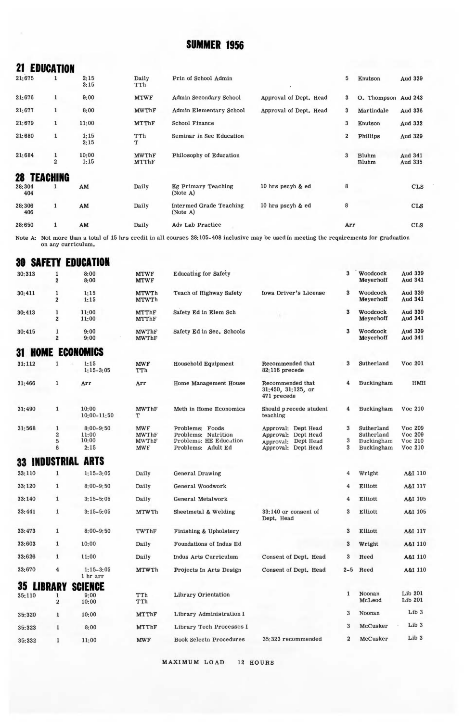# **21 EDUCATION**

| 21:675             | 1                              | 2:15<br>3:15  | Daily<br>TTh                 | Prin of School Admin                       |                        | 5                       | Knutson             | Aud 339            |
|--------------------|--------------------------------|---------------|------------------------------|--------------------------------------------|------------------------|-------------------------|---------------------|--------------------|
| 21:676             | $\mathbf{1}$                   | 9:00          | <b>MTWF</b>                  | Admin Secondary School                     | Approval of Dept. Head | 3                       | O. Thompson Aud 243 |                    |
| 21:677             | 1                              | 8:00          | <b>MWThF</b>                 | <b>Admin Elementary School</b>             | Approval of Dept. Head | 3                       | Martindale          | Aud 336            |
| 21:679             | $\mathbf{1}$                   | 11:00         | <b>MTThF</b>                 | School Finance                             |                        | 3                       | Knutson             | Aud 332            |
| 21:680             | $\mathbf{1}$                   | 1:15<br>2:15  | TTh<br>т                     | Seminar in Sec Education                   |                        | $\overline{\mathbf{2}}$ | Phillips            | Aud 329            |
| 21:684             | $\mathbf{1}$<br>$\overline{2}$ | 10:00<br>1:15 | <b>MWThF</b><br><b>MTThF</b> | Philosophy of Education                    |                        | 3                       | Bluhm<br>Bluhm      | Aud 341<br>Aud 335 |
| <b>28 TEACHING</b> |                                |               |                              |                                            |                        |                         |                     |                    |
| 28:304<br>404      | 1                              | AM            | Daily                        | Kg Primary Teaching<br>(Note A)            | 10 hrs pscyh & ed      | 8                       |                     | <b>CLS</b>         |
| 28:306<br>406      | $\mathbf{1}$                   | AM            | Daily                        | <b>Intermed Grade Teaching</b><br>(Note A) | 10 hrs pscyh & ed      | 8                       |                     | <b>CLS</b>         |
| 28:650             | 1                              | AM            | Daily                        | Adv Lab Practice                           |                        | Arr                     |                     | <b>CLS</b>         |

Note A: Not more than a total of 15 hrs credit in all courses 28:105-408 inclusive may be used in meeting the requirements for graduation on any curriculum.

# **30 SAFETY EDUCATION**

| 30:313        | 1<br>$\overline{a}$           | 8:00<br>8:00                            | <b>MTWF</b><br><b>MTWF</b>                               | <b>Educating for Safety</b>                                                            |                                                                                          | 3              | Woodcock<br>Meyerhoff                                | Aud 339<br>Aud 341                       |
|---------------|-------------------------------|-----------------------------------------|----------------------------------------------------------|----------------------------------------------------------------------------------------|------------------------------------------------------------------------------------------|----------------|------------------------------------------------------|------------------------------------------|
| 30:411        | 1<br>$\overline{2}$           | 1:15<br>1:15                            | <b>MTWTh</b><br><b>MTWTh</b>                             | Teach of Highway Safety                                                                | Iowa Driver's License                                                                    | 3              | Woodcock<br>Meverhoff                                | Aud 339<br>Aud 341                       |
| 30:413        | 1<br>$\overline{2}$           | 11:00<br>11:00                          | <b>MTThF</b><br>MTThF                                    | Safety Ed in Elem Sch                                                                  |                                                                                          | 3              | Woodcock<br>Meyerhoff                                | Aud 339<br>Aud 341                       |
| 30:415        | $\overline{2}$                | 9:00<br>9:00                            | <b>MWThF</b><br><b>MWThF</b>                             | Safety Ed in Sec. Schools                                                              |                                                                                          | 3              | Woodcock<br>Meyerhoff                                | Aud 339<br>Aud 341                       |
| 31.<br>HOME   |                               | <b>ECONOMICS</b>                        |                                                          |                                                                                        |                                                                                          |                |                                                      |                                          |
| 31:112        | ı                             | 1:15<br>$1:15-3:05$                     | <b>MWF</b><br>TTh                                        | Household Equipment                                                                    | Recommended that<br>82:116 precede                                                       | 3              | Sutherland                                           | Voc 201                                  |
| 31:466        | $\mathbf{1}$                  | Arr                                     | Arr                                                      | Home Management House                                                                  | Recommended that<br>$31:450$ , $31:125$ , or<br>471 precede                              | 4              | Buckingham                                           | <b>HMH</b>                               |
| 31:490        | $\mathbf{1}$                  | 10:00<br>$10:00 - 11:50$                | <b>MWThF</b><br>т                                        | Meth in Home Economics                                                                 | Should precede student<br>teaching                                                       | 4              | Buckingham                                           | Voc 210                                  |
| 31:568        | 1<br>$\overline{2}$<br>5<br>6 | $8:00 - 9:50$<br>11:00<br>10:00<br>2:15 | <b>MWF</b><br><b>MWThF</b><br><b>MWThF</b><br><b>MWF</b> | Problems: Foods<br>Problems: Nutrition<br>Problems: HE Education<br>Problems: Adult Ed | Approval: Dept Head<br>Approval: Dept Head<br>Approval: Dept Head<br>Approval: Dept Head | 3<br>3<br>3    | Sutherland<br>Sutherland<br>Buckingham<br>Buckingham | Voc 209<br>Voc 209<br>Voc 210<br>Voc 210 |
| 33 INDUSTRIAL |                               | <b>ARTS</b>                             |                                                          |                                                                                        |                                                                                          |                |                                                      |                                          |
| 33:110        | 1                             | $1:15-3:05$                             | Daily                                                    | <b>General Drawing</b>                                                                 |                                                                                          | $\overline{4}$ | Wright                                               | A&I 110                                  |
| 33:120        | $\mathbf{1}$                  | $8:00 - 9:50$                           | Daily                                                    | General Woodwork                                                                       |                                                                                          | 4              | Elliott                                              | A&I 117                                  |
| 0040          |                               | 0.45.58                                 | $-11$                                                    | $\sim$ $\sim$ $\sim$ $\sim$ $\sim$ $\sim$ $\sim$                                       |                                                                                          |                | $\cdots$                                             | 18727                                    |

| 33:140 | 1              | $3:15 - 5:05$           | Daily        | General Metalwork              |                                    | 4                       | Elliott          | A&I 105            |
|--------|----------------|-------------------------|--------------|--------------------------------|------------------------------------|-------------------------|------------------|--------------------|
| 33:441 | $\mathbf{1}$   | $3:15 - 5:05$           | <b>MTWTh</b> | Sheetmetal & Welding           | 33:140 or consent of<br>Dept. Head | 3                       | Elliott          | A&I 105            |
| 33:473 | 1              | $8:00 - 9:50$           | TWThF        | Finishing & Upholstery         |                                    | 3                       | Elliott          | A&I 117            |
| 33:603 | $\mathbf{1}$   | 10:00                   | Daily        | Foundations of Indus Ed        |                                    | 3                       | Wright           | A&I 110            |
| 33:626 | $\mathbf{1}$   | 11:00                   | Daily        | Indus Arts Curriculum          | Consent of Dept. Head              | 3                       | Reed             | A&I 110            |
| 33:670 | $\overline{4}$ | $1:15-3:05$<br>1 hr arr | <b>MTWTh</b> | Projects In Arts Design        | Consent of Dept. Head              | $2 - 5$                 | Reed             | A&I 110            |
| 35     | <b>LIBRARY</b> | <b>SCIENCE</b>          |              |                                |                                    |                         |                  |                    |
| 35:110 | $\overline{2}$ | 9:00<br>10:00           | TTh<br>TTh   | Library Orientation            |                                    | $\mathbf{1}$            | Noonan<br>McLeod | Lib 201<br>Lib 201 |
| 35:320 | $\mathbf{1}$   | 10:00                   | <b>MTThF</b> | Library Administration I       |                                    | 3                       | Noonan           | Lib <sub>3</sub>   |
| 35:323 | $\mathbf{1}$   | 8:00                    | <b>MTThF</b> | Library Tech Processes I       |                                    | 3                       | McCusker         | Lib <sub>3</sub>   |
| 35:332 | 1              | 11:00                   | <b>MWF</b>   | <b>Book Selectn Procedures</b> | 35:323 recommended                 | $\overline{\mathbf{2}}$ | McCusker         | Lib <sub>3</sub>   |
|        |                |                         |              |                                |                                    |                         |                  |                    |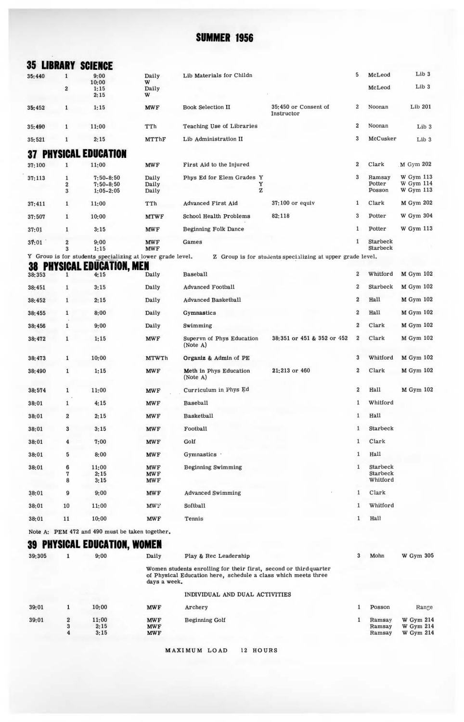|                     |                            | <b>35 LIBRARY SCIENCE</b>                                       |                                        |                                                                                                                                     |                                                            |                  |                                  |                                     |
|---------------------|----------------------------|-----------------------------------------------------------------|----------------------------------------|-------------------------------------------------------------------------------------------------------------------------------------|------------------------------------------------------------|------------------|----------------------------------|-------------------------------------|
| 35:440              | 1                          | 9:00<br>10:00                                                   | Daily<br>W                             | Lib Materials for Childn                                                                                                            |                                                            | 5                | McLeod                           | Lib <sub>3</sub>                    |
|                     | $\overline{2}$             | 1:15<br>2:15                                                    | Daily<br>W                             |                                                                                                                                     |                                                            |                  | McLeod                           | Lib <sub>3</sub>                    |
| 35:452              | 1                          | 1:15                                                            | <b>MWF</b>                             | <b>Book Selection II</b>                                                                                                            | 35:450 or Consent of<br>Instructor                         | $\boldsymbol{2}$ | Noonan                           | Lib 201                             |
| 35:490              | 1                          | 11:00                                                           | TTh                                    | Teaching Use of Libraries                                                                                                           |                                                            | $\boldsymbol{2}$ | Noonan                           | Lib <sub>3</sub>                    |
| 35:521              | 1                          | 2:15                                                            | MTThF                                  | Lib Administration II                                                                                                               |                                                            | 3                | McCusker                         | Lib <sub>3</sub>                    |
| 37                  |                            | YSICAL EDUCATION                                                |                                        |                                                                                                                                     |                                                            |                  |                                  |                                     |
| 37:100              | $\mathbf{1}$               | 11:00                                                           | <b>MWF</b>                             | First Aid to the Injured                                                                                                            |                                                            | $\boldsymbol{2}$ | Clark                            | M Gym 202                           |
| 37:113              | 1<br>$\boldsymbol{2}$<br>3 | $7:50 - 8:50$<br>$7:50 - 8:50$<br>$1:05 - 2:05$                 | Daily<br>Daily<br>Daily                | Phys Ed for Elem Grades Y<br>Y<br>Z                                                                                                 |                                                            | 3                | Ramsay<br>Potter<br>Posson       | W Gym 113<br>W Gym 114<br>W Gym 113 |
| 37:411              | 1                          | 11:00                                                           | TTh                                    | <b>Advanced First Aid</b>                                                                                                           | 37:100 or equiv                                            | 1                | Clark                            | M Gym 202                           |
| 37:507              | 1                          | 10:00                                                           | <b>MTWF</b>                            | School Health Problems                                                                                                              | 82:118                                                     | 3                | Potter                           | W Gym 304                           |
| 37:01               | 1                          | 3:15                                                            | <b>MWF</b>                             | Beginning Folk Dance                                                                                                                |                                                            | $\mathbf 1$      | Potter                           | W Gym 113                           |
| 37:01               | $\bf{2}$<br>3              | 9:00<br>1:15                                                    | <b>MWF</b><br><b>MWF</b>               | Games                                                                                                                               |                                                            | $\mathbf{1}$     | Starbeck<br>Starbeck             |                                     |
|                     | CAL                        | Y Group is for students specializing at lower grade level.<br>ы |                                        |                                                                                                                                     | Z Group is for students specializing at upper grade level. |                  |                                  |                                     |
| PH)<br>38<br>38:353 | 1                          | UCATION, MEN<br>4:15                                            | Daily                                  | Baseball                                                                                                                            |                                                            | $\boldsymbol{2}$ | Whitford                         | <b>M</b> Gym 102                    |
| 38:451              | 1                          | 3:15                                                            | Daily                                  | <b>Advanced Football</b>                                                                                                            |                                                            | $\overline{2}$   | Starbeck                         | M Gym 102                           |
| 38:452              | $\mathbf{1}$               | 2:15                                                            | Daily                                  | <b>Advanced Basketball</b>                                                                                                          |                                                            | $\boldsymbol{2}$ | Hall                             | M Gym 102                           |
| 38:455              | 1                          | 8:00                                                            | Daily                                  | Gymnastics                                                                                                                          |                                                            | $\overline{2}$   | Hall                             | M Gym 102                           |
| 38:456              | 1                          | 9:00                                                            | Daily                                  | Swimming                                                                                                                            |                                                            | $\boldsymbol{2}$ | Clark                            | M Gym 102                           |
| 38:472              | 1                          | 1:15                                                            | <b>MWF</b>                             | Supervn of Phys Education<br>(Note A)                                                                                               | 38:351 or 451 & 352 or 452                                 | $\boldsymbol{2}$ | Clark                            | M Gym 102                           |
| 38:473              | 1                          | 10:00                                                           | <b>MTWTh</b>                           | Organiz & Admin of PE                                                                                                               |                                                            | 3                | Whitford                         | M Gym 102                           |
| 38:490              | $\mathbf{1}$               | 1:15                                                            | MWF                                    | Meth in Phys Education<br>(Note A)                                                                                                  | 21:213 or 460                                              | $\overline{2}$   | Clark                            | M Gym 102                           |
| 38:574              | $\mathbf{1}$               | 11:00                                                           | <b>MWF</b>                             | Curriculum in Phys Ed                                                                                                               |                                                            | $\overline{2}$   | Hall                             | M Gym 102                           |
| 38:01               | $\mathbf{1}$               | 4:15                                                            | <b>MWF</b>                             | Baseball                                                                                                                            |                                                            | 1                | Whitford                         |                                     |
| 38:01               | $\overline{\mathbf{2}}$    | 2:15                                                            | <b>MWF</b>                             | Basketball                                                                                                                          |                                                            | 1                | Hall                             |                                     |
| 38:01               | 3                          | 3:15                                                            | <b>MWF</b>                             | Football                                                                                                                            |                                                            | 1                | Starbeck                         |                                     |
| 38:01               | 4                          | 7:00                                                            | <b>MWF</b>                             | Golf                                                                                                                                |                                                            | $\mathbf{1}$     | Clark                            |                                     |
| 38:01               | 5                          | 8:00                                                            | <b>MWF</b>                             | Gymnastics ·                                                                                                                        |                                                            | $\mathbf{1}$     | Hall                             |                                     |
| 38:01               | 6<br>7<br>8                | 11:00<br>2:15<br>3:15                                           | <b>MWF</b><br><b>MWF</b><br><b>MWF</b> | <b>Beginning Swimming</b>                                                                                                           |                                                            | 1                | Starbeck<br>Starbeck<br>Whitford |                                     |
| 38:01               | 9                          | 9:00                                                            | <b>MWF</b>                             | <b>Advanced Swimming</b>                                                                                                            |                                                            | 1                | Clark                            |                                     |
| 38:01               | 10                         | 11:00                                                           | <b>MWF</b>                             | Softball                                                                                                                            |                                                            | 1                | Whitford                         |                                     |
| 38:01               | 11                         | 10:00                                                           | <b>MWF</b>                             | Tennis                                                                                                                              |                                                            | 1                | Hall                             |                                     |
|                     |                            | Note A: PEM 472 and 490 must be taken together.                 |                                        |                                                                                                                                     |                                                            |                  |                                  |                                     |
|                     |                            | 'SICAL EDUCATION, WOMEN                                         |                                        |                                                                                                                                     |                                                            |                  |                                  |                                     |
| 39:305              | 1                          | 9:00                                                            | Daily                                  | Play & Rec Leadership                                                                                                               |                                                            | 3                | Mohn                             | W Gym 305                           |
|                     |                            |                                                                 | days a week.                           | Women students enrolling for their first, second or third quarter<br>of Physical Education here, schedule a class which meets three |                                                            |                  |                                  |                                     |
|                     |                            |                                                                 |                                        | INDIVIDUAL AND DUAL ACTIVITIES                                                                                                      |                                                            |                  |                                  |                                     |

| 39:01 | 10:00 | <b>MWF</b> | Archery               | Posson | Range            |
|-------|-------|------------|-----------------------|--------|------------------|
| 39:01 | 11:00 | <b>MWF</b> | <b>Beginning Golf</b> | Ramsay | <b>W</b> Gym 214 |
|       | 2:15  | <b>MWF</b> |                       | Ramsay | <b>W</b> Gym 214 |
|       | 3:15  | <b>MWF</b> |                       | Ramsay | <b>W</b> Gym 214 |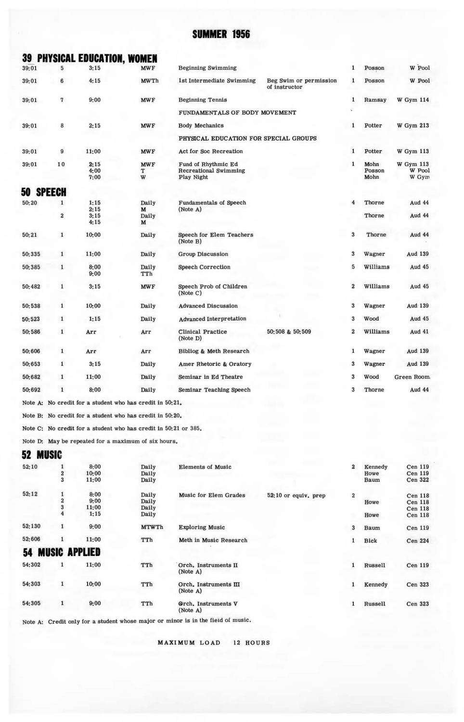|        |                                  | <b>39 PHYSICAL EDUCATION, WOMEN</b>                             |                      |                                                                   |                                         |                         |                        |                                  |
|--------|----------------------------------|-----------------------------------------------------------------|----------------------|-------------------------------------------------------------------|-----------------------------------------|-------------------------|------------------------|----------------------------------|
| 39:01  | 5                                | 3:15                                                            | <b>MWF</b>           | <b>Beginning Swimming</b>                                         |                                         | 1                       | Posson                 | W Pool                           |
| 39:01  | 6                                | 4:15                                                            | <b>MWTh</b>          | 1st Intermediate Swimming                                         | Beg Swim or permission<br>of instructor | 1                       | Posson                 | W Pool                           |
| 39:01  | 7                                | 9:00                                                            | <b>MWF</b>           | <b>Beginning Tennis</b>                                           |                                         | 1                       | Ramsay                 | <b>W</b> Gym 114                 |
|        |                                  |                                                                 |                      | FUNDAMENTALS OF BODY MOVEMENT                                     |                                         |                         |                        |                                  |
| 39:01  | 8                                | 2:15                                                            | <b>MWF</b>           | <b>Body Mechanics</b>                                             |                                         | 1                       | Potter                 | W Gym 213                        |
|        |                                  |                                                                 |                      | PHYSICAL EDUCATION FOR SPECIAL GROUPS                             |                                         |                         |                        |                                  |
| 39:01  | $\overline{9}$                   | 11:00                                                           | <b>MWF</b>           | Act for Soc Recreation                                            |                                         | 1                       | Potter                 | <b>W</b> Gym 113                 |
| 39:01  | 10                               | 2:15<br>4:00<br>7:00                                            | <b>MWF</b><br>т<br>W | Fund of Rhythmic Ed<br><b>Recreational Swimming</b><br>Play Night |                                         | 1                       | Mohn<br>Posson<br>Mohn | W Gym 113<br>W Pool<br>W Gym     |
| 50     | SPEECH                           |                                                                 |                      |                                                                   |                                         |                         |                        |                                  |
| 50:20  | $\mathbf{1}$                     | 1:15                                                            | Daily                | <b>Fundamentals of Speech</b>                                     |                                         | 4                       | Thorne                 | Aud 44                           |
|        |                                  | 2:15                                                            | M                    | (Note A)                                                          |                                         |                         |                        |                                  |
|        | $\bf{2}$                         | 3:15<br>4:15                                                    | Daily<br>M           |                                                                   |                                         |                         | Thorne                 | Aud 44                           |
| 50:21  | $\mathbf{1}$                     | 10:00                                                           | Daily                | Speech for Elem Teachers<br>(Note B)                              |                                         | $\overline{\mathbf{3}}$ | Thorne                 | Aud 44                           |
| 50:335 | 1                                | 11:00                                                           | Daily                | <b>Group Discussion</b>                                           |                                         | 3                       | Wagner                 | Aud 139                          |
| 50:385 | 1                                | 8:00<br>9:00                                                    | Daily<br>TTh         | <b>Speech Correction</b>                                          |                                         | 5                       | Williams               | Aud 45                           |
| 50:482 | $\mathbf{1}$                     | 3:15                                                            | <b>MWF</b>           | Speech Prob of Children<br>(Note C)                               |                                         | $\overline{2}$          | Williams               | Aud 45                           |
| 50:538 | $\mathbf 1$                      | 10:00                                                           | Daily                | <b>Advanced Discussion</b>                                        |                                         | $\boldsymbol{3}$        | Wagner                 | <b>Aud 139</b>                   |
| 50:523 | $\mathbf{1}$                     | 1:15                                                            | Daily                | <b>Advanced Interpretation</b>                                    |                                         | 3                       | Wood                   | <b>Aud 45</b>                    |
| 50:586 | $\mathbf{1}$                     | Arr                                                             | Arr                  | <b>Clinical Practice</b><br>(Note D)                              | 50:508 & 50:509                         | $\overline{2}$          | Williams               | <b>Aud 41</b>                    |
| 50:606 | $\mathbf{1}$                     | Arr                                                             | Arr                  | Bibliog & Meth Research                                           |                                         | 1                       | Wagner                 | <b>Aud 139</b>                   |
| 50:653 | $\mathbf{1}$                     | 3:15                                                            | Daily                | Amer Rhetoric & Oratory                                           |                                         | 3                       | Wagner                 | Aud 139                          |
| 50:682 | $\mathbf{1}$                     | 11:00                                                           | Daily                | Seminar in Ed Theatre                                             |                                         | 3                       | Wood                   | Green Room                       |
| 50:692 | $\mathbf{1}$                     | 8:00                                                            | Daily                | Seminar Teaching Speech                                           |                                         | 3                       | Thorne                 | Aud 44                           |
|        |                                  | Note A: No credit for a student who has credit in 50:21.        |                      |                                                                   |                                         |                         |                        |                                  |
|        |                                  | Note B: No credit for a student who has credit in 50:20.        |                      |                                                                   |                                         |                         |                        |                                  |
|        |                                  | Note C: No credit for a student who has credit in 50:21 or 385. |                      |                                                                   |                                         |                         |                        |                                  |
|        |                                  | Note D: May be repeated for a maximum of six hours.             |                      |                                                                   |                                         |                         |                        |                                  |
|        | MUSIC                            |                                                                 |                      |                                                                   |                                         |                         |                        |                                  |
| 52:10  | $\mathbf{1}$                     | 8:00                                                            | Daily                | <b>Elements of Music</b>                                          |                                         | $\overline{2}$          | Kennedy                | <b>Cen 119</b>                   |
|        | $\overline{2}$<br>$\overline{3}$ | 10:00<br>11:00                                                  | Daily<br>Daily       |                                                                   |                                         |                         | Howe<br><b>Baum</b>    | <b>Cen 119</b><br><b>Cen 322</b> |
|        |                                  |                                                                 |                      |                                                                   |                                         |                         |                        |                                  |
| 52:12  | $\mathbf 1$                      | 8:00                                                            | Daily                | <b>Music for Elem Grades</b>                                      | 52:10 or equiv. prep                    | $\overline{2}$          |                        | <b>Cen 118</b>                   |
|        | $\bf{2}$<br>$\mathbf{3}$         | 9:00<br>11:00                                                   | Daily                |                                                                   |                                         |                         | Howe                   | <b>Cen 118</b>                   |
|        | $\overline{4}$                   | 1:15                                                            | Daily<br>Daily       |                                                                   |                                         |                         | Howe                   | <b>Cen 118</b><br><b>Cen 118</b> |
|        |                                  |                                                                 |                      |                                                                   |                                         |                         |                        |                                  |

54:305 9:00 TTh @rch. Instruments V (Note **A)**  Note A: Credit only for a student whose major or minor is in the field *oi* music.

52: 130 9:00 **MTWTh** Exploring Music 52:606 1 11:00 TTh Meth in Music Research

54:302 1 11:00 TTh Orch. Instruments II<br>(Note A) 54:303 1 10:00 TTh Orch, Instruments III<br>(Note A)

**54 MUSIC APPLIED** 

**MAXIMUM LOAD** 12 HOURS

Baum Cen 119 Bick Cen 224

 $\overline{3}$  $\mathbf{1}$ 

 $\mathbf 1$  $\mathbf 1$  $\mathbf 1$  Russell Cen 119 Kennedy Cen 323 Russell Cen 323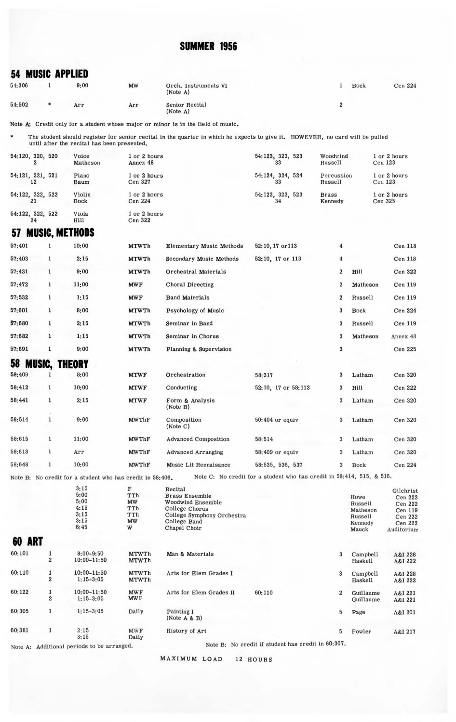### **54 MUSIC APPLIED**

| 54:306 | 9:00 | MW  | Orch, Instruments VI<br>(Note A) | <b>Bock</b> | Cen 224 |
|--------|------|-----|----------------------------------|-------------|---------|
| 54:502 | Arr  | Arr | Senior Recital<br>(Note A)       |             |         |

Note A: Credit only for a student whose major or minor is in the field of music.

 $\ast$ The student should register for senior recital in the quarter in which he expects to give it. HOWEVER, no card will be pulled<br>until after the recital has been presented.

| 54:120, 320, 520 | Voice<br>Matheson     | or 2 hours<br>Annex 48  | 54:123, 323, 523 | Woodwind<br>Russell     | 1 or 2 hours<br>Cen 123 |
|------------------|-----------------------|-------------------------|------------------|-------------------------|-------------------------|
| 54:121, 321, 521 | Piano<br>Baum         | 1 or 2 hours<br>Cen 327 | 54:124, 324, 524 | Percussion<br>Russell   | 1 or 2 hours<br>Cen 123 |
| 54:122, 322, 522 | Violin<br><b>Bock</b> | 1 or 2 hours<br>Cen 224 | 54:123, 323, 523 | <b>Brass</b><br>Kennedy | 1 or 2 hours<br>Cen 325 |
| 54:122, 322, 522 | Viola<br>Hill         | 1 or 2 hours<br>Cen 322 |                  |                         |                         |

# **57 MUSIC, METHODS**

| 57:401 | 1            | 10:00                | <b>MTWTh</b> | <b>Elementary Music Methods</b> | 52:10, 17 or 113    | 4                       |             | <b>Cen 118</b> |
|--------|--------------|----------------------|--------------|---------------------------------|---------------------|-------------------------|-------------|----------------|
| 57:403 | 1            | 2:15                 | <b>MTWTh</b> | Secondary Music Methods         | 52:10, 17 or 113    | $\overline{\mathbf{4}}$ |             | <b>Cen 118</b> |
| 57:431 | $\mathbf{1}$ | 9:00                 | <b>MTWTh</b> | Orchestral Materials            |                     | $\overline{\mathbf{2}}$ | Hill        | Cen 322        |
| 57:472 | $\mathbf{1}$ | 11:00                | <b>MWF</b>   | Choral Directing                |                     | $\overline{2}$          | Matheson    | Cen 119        |
| 57:532 | 1            | 1:15                 | <b>MWF</b>   | <b>Band Materials</b>           |                     | $\overline{\mathbf{2}}$ | Russell     | Cen 119        |
| 57:601 | 1            | 8:00                 | <b>MTWTh</b> | Psychology of Music             |                     | $\mathbf{3}$            | <b>Bock</b> | Cen 224        |
| 57:680 | 1            | 2:15                 | <b>MTWTh</b> | Seminar in Band                 |                     | 3                       | Russell     | Cen 119        |
| 57:682 | $\mathbf{1}$ | 1:15                 | <b>MTWTh</b> | Seminar in Chorus               |                     | 3                       | Matheson    | Annex 48       |
| 57:691 | 1            | 9:00                 | <b>MTWTh</b> | Planning & Supervision          |                     | 3                       |             | Cen 225        |
| 58     |              | <b>MUSIC, THEORY</b> |              |                                 |                     |                         |             |                |
| 58:409 |              | 8:00                 | <b>MTWF</b>  | Orchestration                   | 58:317              | 3                       | Latham      | Cen 320        |
| 58:412 | 1            | 10:00                | <b>MTWF</b>  | Conducting                      | 52:10, 17 or 58:113 | 3                       | Hill        | <b>Cen 222</b> |
| 58:441 | $\mathbf{1}$ | 2:15                 | <b>MTWF</b>  | Form & Analysis<br>(Note B)     |                     | 3                       | Latham      | Cen 320        |
| 58:514 | $\mathbf{1}$ | 9:00                 | <b>MWThF</b> | Composition<br>(Note C)         | 50:404 or equiv     | 3                       | Latham      | Cen 320        |
| 58:615 | $\mathbf{1}$ | 11:00                | <b>MWThF</b> | <b>Advanced Composition</b>     | 58:514              | 3                       | Latham      | Cen 320        |
| 58:618 | $\mathbf{1}$ | Arr                  | <b>MWThF</b> | <b>Advanced Arranging</b>       | 58:409 or equiv     | 3                       | Latham      | Cen 320        |
|        |              |                      |              |                                 |                     |                         |             |                |

Note B: No credit for a student who has credit in 58:406. Note C: No credit for a student who has credit in 58:414, 515, & 516.

|                  |                                | 3:15<br>5:00<br>5:00<br>4:15<br>3:15<br>3:15<br>6:45 | F<br>TTh<br>MW<br>TTh<br>TTh<br>MW<br>W | Recital<br><b>Brass Ensemble</b><br><b>Woodwind Ensemble</b><br>College Chorus<br>College Symphony Orchestra<br>College Band<br>Chapel Choir |                                            |                | Howe<br>Russell<br>Matheson<br>Russell<br>Kennedy<br>Mauck | Gilchrist<br>Cen 222<br>Cen 222<br>Cen 119<br>Cen 222<br>Cen 222<br>Auditorium |
|------------------|--------------------------------|------------------------------------------------------|-----------------------------------------|----------------------------------------------------------------------------------------------------------------------------------------------|--------------------------------------------|----------------|------------------------------------------------------------|--------------------------------------------------------------------------------|
| <b>ART</b><br>60 |                                |                                                      |                                         |                                                                                                                                              |                                            |                |                                                            |                                                                                |
| 60:101           | 1<br>$\overline{2}$            | $8:00 - 9:50$<br>$10:00 - 11:50$                     | <b>MTWTh</b><br><b>MTWTh</b>            | Man & Materials                                                                                                                              |                                            | 3              | Campbell<br>Haskell                                        | A&I 228<br>A&I 222                                                             |
| 60:110           | 1<br>$\overline{2}$            | $10:00 - 11:50$<br>$1:15 - 3:05$                     | <b>MTWTh</b><br><b>MTWTh</b>            | Arts for Elem Grades I                                                                                                                       |                                            | 3              | Campbell<br>Haskell                                        | A&I 228<br>A&I 222                                                             |
| 60:122           | $\mathbf{1}$<br>$\overline{2}$ | $10:00 - 11:50$<br>$1:15 - 3:05$                     | <b>MWF</b><br><b>MWF</b>                | Arts for Elem Grades II                                                                                                                      | 60:110                                     | $\overline{2}$ | Guillaume<br>Guillaume                                     | A&I 221<br>A&I 221                                                             |
| 60:305           | $\mathbf{1}$                   | $1:15-3:05$                                          | Daily                                   | Painting I<br>(Note A & B)                                                                                                                   |                                            | 5              | Page                                                       | A&I 201                                                                        |
| 60:381           | $\mathbf{1}$                   | 2:15<br>3:15                                         | <b>MWF</b><br>Daily                     | History of Art                                                                                                                               |                                            | 5              | Fowler                                                     | A&I 217                                                                        |
|                  |                                | Note A: Additional periods to be arranged.           |                                         | Note B:                                                                                                                                      | No credit if student has credit in 60:307. |                |                                                            |                                                                                |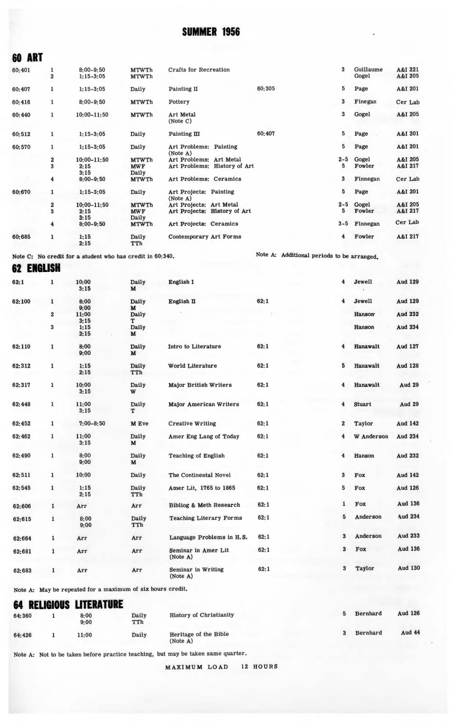| vv num |                         |                                |                              |                                    |                              |        |         |                    |                    |
|--------|-------------------------|--------------------------------|------------------------------|------------------------------------|------------------------------|--------|---------|--------------------|--------------------|
| 60:401 | 1<br>$\overline{2}$     | $8:00 - 9:50$<br>$1:15 - 3:05$ | <b>MTWTh</b><br><b>MTWTh</b> | <b>Crafts for Recreation</b>       |                              |        | 3       | Guillaume<br>Gogel | A&I 221<br>A&I 205 |
| 60:407 | 1                       | $1:15-3:05$                    | Daily                        | Painting II                        |                              | 60:305 | 5       | Page               | A&I 201            |
| 60:416 | $\mathbf{1}$            | $8:00 - 9:50$                  | <b>MTWTh</b>                 | Pottery                            |                              |        | 3       | Finegan            | Cer Lab            |
| 60:440 | $\mathbf{1}$            | $10:00 - 11:50$                | <b>MTWTh</b>                 | <b>Art Metal</b><br>(Note C)       |                              |        | 3       | Gogel              | A&I 205            |
| 60:512 | 1                       | $1:15 - 3:05$                  | Daily                        | Painting III                       |                              | 60:407 | 5       | Page               | A&I 201            |
| 60:570 | $\mathbf{1}$            | $1:15-3:05$                    | Daily                        | Art Problems: Painting<br>(Note A) |                              |        | 5       | Page               | A&I 201            |
|        | 2                       | $10:00 - 11:50$                | <b>MTWTh</b>                 | Art Problems: Art Metal            |                              |        | $2 - 5$ | Gogel              | A&I 205            |
|        | 3                       | 2:15<br>3:15                   | <b>MWF</b><br>Daily          |                                    | Art Problems: History of Art |        | 5       | Fowler             | A&I 217            |
|        | $\overline{\mathbf{4}}$ | $8:00 - 9:50$                  | <b>MTWTh</b>                 | Art Problems: Ceramics             |                              |        | 3       | Finnegan           | Cer Lab            |
| 60:670 | $\mathbf{1}$            | $1:15-3:05$                    | Daily                        | Art Projects: Painting<br>(Note A) |                              |        | 5       | Page               | A&I 201            |
|        | 2                       | $10:00 - 11:50$                | <b>MTWTh</b>                 | Art Projects: Art Metal            |                              |        | $2 - 5$ | Gogel              | A&I 205            |
|        | 3                       | 2:15<br>3:15                   | <b>MWF</b><br>Daily          |                                    | Art Projects: History of Art |        | 5       | Fowler             | A&I 217            |
|        | 4                       | $8:00 - 9:50$                  | <b>MTWTh</b>                 | Art Projects; Ceramics             |                              |        | $3 - 5$ | Finnegan           | Cer Lab            |
| 60:685 | $\mathbf{1}$            | 1:15<br>2:15                   | Daily<br>TTh                 | Contemporary Art Forms             |                              |        | 4       | Fowler             | A&I 217            |

Note C: No credit for a student who has credit in 60:340. Note A: Additional periods to be arranged.

**62 ENGLISH** 

**60 ART** 

62:1 10:00 Daily English I 4 Jewell Aud 129 3:15 **M**  62:100 1 8:00 Daily English II 62:1 4 Jewell Aud 129 9:00 **M**  2 11:00 Daily Hansorr Aud 232 3:15<br>  $1:15$ <br>  $2:15$ <br>  $2:15$ <br>  $2:15$ <br>  $2:15$ <br>  $2:15$ <br>  $2:15$  $\bf{3}$ 1:15 Daily Hanson Aud 234  $2:15$ 62: 110 8:00 Daily Intro to Literature 62:1 **4** Hanawalt Aud 127  $9:00$  $62:312$  1 1:15 Daily World Literature 62:1 5 Hanawalt Aud 128 TT<sub>h</sub> 62:317 10:00 Daily Major British Writers 62:1 4 Hanawalt Aud 29  $3:15$ 62:448 11:00 Daily Major American Writers 62:1 **4** Stuart Aud 29  $3:15$ 62:452 7:00-8: 50 M Eve Creative Writing 62:1 2 Taylor Aud 142 62:462 1 11:00 Daily Amer Eng Lang of Today 62:1 4 W Anderson Aud 234  $3:15$ 62:490 1 8:00 Daily Teaching of English 62:1 4 Hanson Aud 232<br>9:00 M  $9:00$ 62: 511 1 10:00 Daily The Continental Novel 62:1 3 Fox Aud 142 62: 545 1 1:15 Daily Amer Lit, 1765 to 1865 62:1 5 Fox Aud 126 Daily<br>TTh 62:606 1 Arr Arr Bibliog & Meth Research 62:1 1 Fox Aud 136  $62:615$  1 8:00 Daily Teaching Literary Forms  $62:1$  5 Anderson Aud 234<br>9:00 TTh Daily<br>TTh 62:664 1 Arr Arr Language Problems in H.S. 62:1 3 Anderson Aud 233 62:681 1 Arr Arr Seminar in Amer Lit 62:1 3 Fox Aud 136 62:683 1 Arr Arr Seminar in Writing 62:1 3 Taylor Aud 130

Note A: May be repeated for a maximum of six hours credit.

#### **64 RELIGIOUS LITERATURE**

| 64:360 | 8:00<br>9:00 | Daily<br>TTh | <b>History of Christianity</b>    | Bernhard | <b>Aud 126</b> |
|--------|--------------|--------------|-----------------------------------|----------|----------------|
| 64:426 | 11:00        | Daily        | Heritage of the Bible<br>(Note A) | Bernhard | Aud 44         |

Note A: Not to be taken before practice teaching, but may be taken same quarter.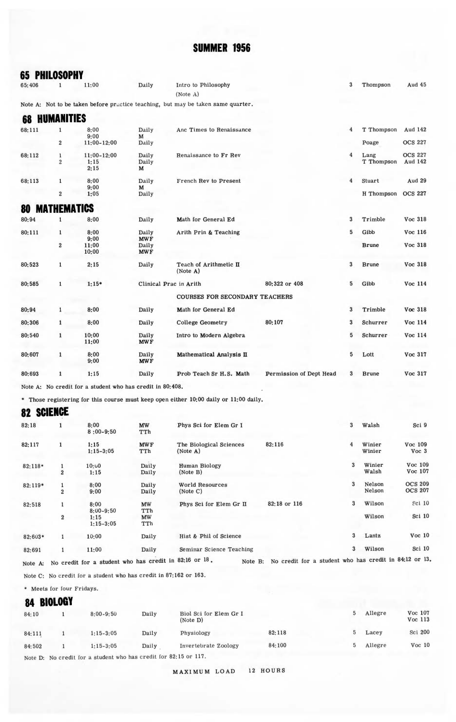| <b>65 PHILOSOPHY</b> |                           |                                                           |                     |                                                                                  |                         |                |                    |                           |
|----------------------|---------------------------|-----------------------------------------------------------|---------------------|----------------------------------------------------------------------------------|-------------------------|----------------|--------------------|---------------------------|
| 65:406               | $\mathbf{1}$              | 11:00                                                     | Daily               | Intro to Philosophy<br>(Note A)                                                  |                         | 3              | Thompson           | Aud 45                    |
|                      |                           |                                                           |                     | Note A: Not to be taken before practice teaching, but may be taken same quarter. |                         |                |                    |                           |
| 68                   | <b>HUMANITIES</b>         |                                                           |                     |                                                                                  |                         |                |                    |                           |
| 68:111               | $\mathbf{1}$              | 8:00<br>9:00                                              | Daily<br>M          | Anc Times to Renaissance                                                         |                         | $\overline{4}$ | T Thompson         | Aud 142                   |
|                      | $\overline{2}$            | 11:00-12:00                                               | Daily               |                                                                                  |                         |                | Poage              | <b>OCS 227</b>            |
| 68:112               | $\mathbf 1$<br>$\sqrt{2}$ | 11:00-12:00<br>1:15<br>2:15                               | Daily<br>Daily<br>M | Renaissance to Fr Rev                                                            |                         | $\overline{4}$ | Lang<br>T Thompson | <b>OCS 227</b><br>Aud 142 |
| 68:113               | $\mathbf{1}$              | 8:00<br>9:00                                              | Daily<br>M          | French Rev to Present                                                            |                         | $\overline{4}$ | Stuart             | Aud 29                    |
|                      | $\overline{2}$            | 1:05                                                      | Daily               |                                                                                  |                         |                | H Thompson OCS 227 |                           |
| 80                   | <b>MATHEMATICS</b>        |                                                           |                     |                                                                                  |                         |                |                    |                           |
| 80:94                | $\mathbf{1}$              | 8:00                                                      | Daily               | Math for General Ed                                                              |                         | 3              | Trimble            | Voc 318                   |
| 80:111               | $\mathbf{1}$              | 8:00<br>9:00                                              | Daily<br><b>MWF</b> | Arith Prin & Teaching                                                            |                         | 5              | Gibb               | Voc 116                   |
|                      | $\overline{2}$            | 11:00<br>10:00                                            | Daily<br><b>MWF</b> |                                                                                  |                         |                | <b>Brune</b>       | Voc 318                   |
| 80:523               | $\mathbf{1}$              | 2:15                                                      | Daily               | Teach of Arithmetic II<br>(Note A)                                               |                         | 3              | <b>Brune</b>       | Voc 318                   |
| 80:585               | $\mathbf{1}$              | $1:15*$                                                   |                     | Clinical Prac in Arith                                                           | 80:322 or 408           | 5              | Gibb               | Voc 114                   |
|                      |                           |                                                           |                     | <b>COURSES FOR SECONDARY TEACHERS</b>                                            |                         |                |                    |                           |
| 80:94                | $\mathbf{1}$              | 8:00                                                      | Daily               | Math for General Ed                                                              |                         | 3              | Trimble            | Voc 318                   |
| 80:306               | $\mathbf{1}$              | 8:00                                                      | Daily               | <b>College Geometry</b>                                                          | 80:107                  | 3              | Schurrer           | Voc 114                   |
| 80:540               | $\mathbf{1}$              | 10:00<br>11:00                                            | Daily<br><b>MWF</b> | Intro to Modern Algebra                                                          |                         | 5              | Schurrer           | Voc 114                   |
| 80:607               | $\mathbf{1}$              | 8:00<br>9:00                                              | Daily<br><b>MWF</b> | Mathematical Analysis II                                                         |                         | 5              | Lott               | Voc 317                   |
| 80:693               | $\mathbf{1}$              | 1:15                                                      | Daily               | Prob Teach Sr H.S. Math                                                          | Permission of Dept Head | 3              | <b>Brune</b>       | Voc 317                   |
|                      |                           | Note A: No credit for a student who has credit in 80:408. |                     |                                                                                  |                         |                |                    |                           |

• Those registering for this course must keep open either 10:00 daily or 11:00 daily.

# **82 SCIENCE**

| 82:18     |                     | 8:00<br>$8:00-9:50$                                                                                                                                                                                                                                                                                                 | MW<br>TTh                     | Phys Sci for Elem Gr I              |                                                                                                                                                                                                                                                                                                                                           | 3                       | Walsh            | Sci 9                            |
|-----------|---------------------|---------------------------------------------------------------------------------------------------------------------------------------------------------------------------------------------------------------------------------------------------------------------------------------------------------------------|-------------------------------|-------------------------------------|-------------------------------------------------------------------------------------------------------------------------------------------------------------------------------------------------------------------------------------------------------------------------------------------------------------------------------------------|-------------------------|------------------|----------------------------------|
| 82:117    | 1                   | 1:15<br>$1:15-3:05$                                                                                                                                                                                                                                                                                                 | <b>MWF</b><br>TTh             | The Biological Sciences<br>(Note A) | 82:116                                                                                                                                                                                                                                                                                                                                    | $\overline{4}$          | Winier<br>Winier | Voc 109<br>Voc <sub>3</sub>      |
| $82:118*$ | 1<br>$\overline{2}$ | 10:00<br>1:15                                                                                                                                                                                                                                                                                                       | Daily<br>Daily                | <b>Human Biology</b><br>(Note B)    |                                                                                                                                                                                                                                                                                                                                           | $\overline{\mathbf{3}}$ | Winier<br>Walsh  | Voc 109<br>Voc 107               |
| 82:119*   | 1<br>$\overline{2}$ | 8:00<br>9:00                                                                                                                                                                                                                                                                                                        | Daily<br>Daily                | <b>World Resources</b><br>(Note C)  |                                                                                                                                                                                                                                                                                                                                           | 3                       | Nelson<br>Nelson | <b>OCS 209</b><br><b>OCS 207</b> |
| 82:518    | $\overline{2}$      | 8:00<br>$8:00 - 9:50$<br>1:15<br>$1:15-3:05$                                                                                                                                                                                                                                                                        | <b>MW</b><br>TTh<br>MW<br>TTh | Phys Sci for Elem Gr II             | 82:18 or 116                                                                                                                                                                                                                                                                                                                              | 3                       | Wilson<br>Wilson | Sci 10<br>Sci 10                 |
| 82:603*   |                     | 10:00                                                                                                                                                                                                                                                                                                               | Daily                         | Hist & Phil of Science              |                                                                                                                                                                                                                                                                                                                                           | 3                       | Lantz            | Voc <sub>10</sub>                |
| 82:691    |                     | 11:00                                                                                                                                                                                                                                                                                                               | Daily                         | Seminar Science Teaching            |                                                                                                                                                                                                                                                                                                                                           | 3                       | Wilson           | Sci 10                           |
|           |                     | $\frac{1}{2}$ $\frac{1}{2}$ $\frac{1}{2}$ $\frac{1}{2}$ $\frac{1}{2}$ $\frac{1}{2}$ $\frac{1}{2}$ $\frac{1}{2}$ $\frac{1}{2}$ $\frac{1}{2}$ $\frac{1}{2}$ $\frac{1}{2}$ $\frac{1}{2}$ $\frac{1}{2}$ $\frac{1}{2}$ $\frac{1}{2}$ $\frac{1}{2}$ $\frac{1}{2}$ $\frac{1}{2}$ $\frac{1}{2}$ $\frac{1}{2}$ $\frac{1}{2}$ |                               |                                     | $\cdots$ $\cdots$ $\cdots$ $\cdots$ $\cdots$ $\cdots$ $\cdots$ at $\cdots$ at $\cdots$ $\cdots$ $\cdots$ $\cdots$ $\cdots$ $\cdots$ $\cdots$ $\cdots$ $\cdots$ $\cdots$ $\cdots$ $\cdots$ $\cdots$ $\cdots$ $\cdots$ $\cdots$ $\cdots$ $\cdots$ $\cdots$ $\cdots$ $\cdots$ $\cdots$ $\cdots$ $\cdots$ $\cdots$ $\cdots$ $\cdots$ $\cdots$ |                         |                  |                                  |

Note A: No credit for a student who has credit in 82:16 or 18. Note B: No credit for a student who Note C: No credit for a student who has credit in 87:162 or 163.

\* Meets for four Fridays.

### **84 BIOLOGY**

| 84:10  | $8:00 - 9:50$ | Daily | Biol Sci for Elem Gr I<br>(Note D) |        | Allegre | Voc 107<br>Voc 113 |
|--------|---------------|-------|------------------------------------|--------|---------|--------------------|
| 84:111 | $1:15-3:05$   | Daily | Physiology                         | 82:118 | Lacey   | Sci 200            |
| 84:502 | $1:15-3:05$   | Daily | Invertebrate Zoology               | 84:100 | Allegre | Voc <sub>10</sub>  |
|        |               |       |                                    |        |         |                    |

Note D: No credit for a student who has credit for 82:15 or 117.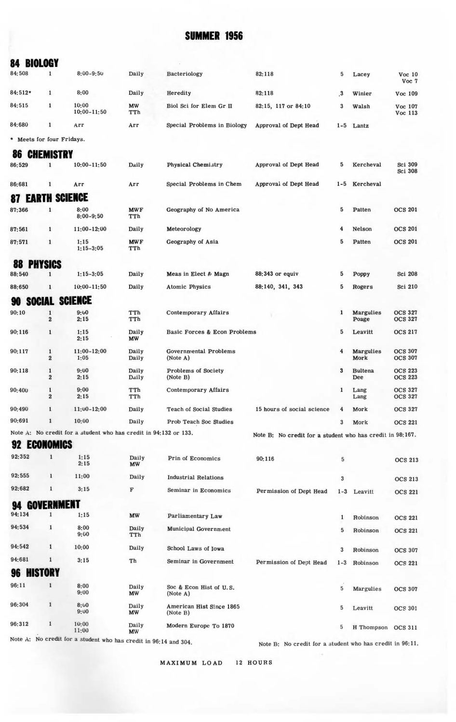|  | 84 BIOLOGY |  |
|--|------------|--|

| 04                        | DIVLVU I                                |                                                                  |                    |                                     |                                                           |                      |                           |                                  |
|---------------------------|-----------------------------------------|------------------------------------------------------------------|--------------------|-------------------------------------|-----------------------------------------------------------|----------------------|---------------------------|----------------------------------|
| 84:508                    | $\mathbf{1}$                            | $8:00 - 9:50$                                                    | Daily              | Bacteriology                        | 82:118                                                    | 5                    | Lacey                     | Voc <sub>10</sub><br>Voc 7       |
| 84:512*                   | $\mathbf 1$                             | 8:00                                                             | Daily              | Heredity                            | 82:118                                                    | $\cdot$ <sup>3</sup> | Winier                    | Voc 109                          |
| 84:515                    | $\mathbf{1}$                            | 10:00<br>10:00-11:50                                             | MW<br>TTh          | Biol Sci for Elem Gr II             | 82:15, 117 or 84:10                                       | 3                    | Walsh                     | Voc 107<br>Voc 113               |
| 84:680                    | 1                                       | Arr                                                              | Arr                | Special Problems in Biology         | Approval of Dept Head                                     | $1 - 5$              | Lantz                     |                                  |
| * Meets for four Fridays. |                                         |                                                                  |                    |                                     |                                                           |                      |                           |                                  |
| öÜ                        | <b>CHEMISTRY</b>                        |                                                                  |                    |                                     |                                                           |                      |                           |                                  |
| 86:529                    | $\mathbf{1}$                            | $10:00 - 11:50$                                                  | Daily              | Physical Chemistry                  | Approval of Dept Head                                     | 5                    | Kercheval                 | Sci 309<br>Sci 308               |
| 86:681                    | $\mathbf{1}$                            | Arr                                                              | Arr                | Special Problems in Chem            | Approval of Dept Head                                     | $1 - 5$              | Kercheval                 |                                  |
| <b>87 EARTH SCIENCE</b>   |                                         |                                                                  |                    |                                     |                                                           |                      |                           |                                  |
| 87:366                    | $\mathbf{1}$                            | 8:00<br>$8:00 - 9:50$                                            | <b>MWF</b><br>TTh  | Geography of No America             |                                                           | 5                    | Patten                    | <b>OCS 201</b>                   |
| 87:561                    | $\mathbf{1}$                            | 11:00-12:00                                                      | Daily              | Meteorology                         |                                                           | 4                    | Nelson                    | <b>OCS 201</b>                   |
| 87:571                    | $\mathbf{1}$                            | 1:15<br>$1:15-3:05$                                              | <b>MWF</b><br>TTh  | Geography of Asia                   |                                                           | 5                    | Patten                    | <b>OCS 201</b>                   |
| ŏö                        | <b>PHYSICS</b>                          |                                                                  |                    |                                     |                                                           |                      |                           |                                  |
| 88:540                    | 1                                       | $1:15-3:05$                                                      | Daily              | Meas in Elect & Magn                | 88:343 or equiv                                           | 5                    | Poppy                     | Sci 208                          |
| 88:650                    | 1                                       | $10:00 - 11:50$                                                  | Daily              | <b>Atomic Physics</b>               | 88:140, 341, 343                                          | 5                    | Rogers                    | Sci 210                          |
| 90.                       | SOCIAL SCIENCE                          |                                                                  |                    |                                     |                                                           |                      |                           |                                  |
| 90:10                     | $\mathbf{1}$<br>$\overline{\mathbf{2}}$ | 9:00<br>2:15                                                     | TTh<br>TTh         | <b>Contemporary Affairs</b>         |                                                           | 1                    | <b>Margulies</b><br>Poage | <b>OCS 327</b><br><b>OCS 327</b> |
| 90:116                    | $\mathbf{1}$                            | 1:15<br>2:15                                                     | Daily<br>MW        | Basic Forces & Econ Problems        |                                                           | 5                    | Leavitt                   | <b>OCS 217</b>                   |
| 90:117                    | $\mathbf{1}$<br>$\overline{2}$          | $11:00 - 12:00$<br>1:05                                          | Daily<br>Daily     | Governmental Problems<br>(Note A)   |                                                           | 4                    | <b>Margulies</b><br>Mork  | <b>OCS 307</b><br><b>OCS 307</b> |
| 90:118                    | $\mathbf{1}$<br>$\overline{2}$          | 9:00<br>2:15                                                     | Daily<br>Daily     | Problems of Society<br>(Note B)     |                                                           | 3                    | <b>Bultena</b><br>Dee     | <b>OCS 223</b><br><b>OCS 223</b> |
| 90:400                    | $\mathbf{1}$<br>$\overline{2}$          | 9:00<br>2:15                                                     | TTh<br>TTh         | Contemporary Affairs                |                                                           | 1                    | Lang<br>Lang              | <b>OCS 327</b><br><b>OCS 327</b> |
| 90:490                    | $\mathbf{1}$                            | $11:00-12:00$                                                    | Daily              | Teach of Social Studies             | 15 hours of social science                                | 4                    | Mork                      | <b>OCS 327</b>                   |
| 90:691                    | $\mathbf{1}$                            | 10:00                                                            | Daily              | Prob Teach Soc Studies              |                                                           | $\boldsymbol{3}$     | Mork                      | <b>OCS 221</b>                   |
| 92                        | <b>ECONOMICS</b>                        | Note A: No credit for a student who has credit in 94:132 or 133. |                    |                                     | Note B: No credit for a student who has credit in 98:167. |                      |                           |                                  |
| 92:352                    | $\mathbf{1}$                            | 1:15<br>2:15                                                     | Daily<br><b>MW</b> | Prin of Economics                   | 90:116                                                    | 5                    |                           | <b>OCS 213</b>                   |
| 92:555                    | 1                                       | 11:00                                                            | Daily              | <b>Industrial Relations</b>         |                                                           | 3                    |                           | <b>OCS 213</b>                   |
| 92:682                    | $\mathbf{1}$                            | 3:15                                                             | F                  | Seminar in Economics                | Permission of Dept Head                                   | $1 - 3$              | Leavitt                   | <b>OCS 221</b>                   |
| 94                        | <b>GOVERNMENT</b>                       |                                                                  |                    |                                     |                                                           |                      |                           |                                  |
| 94:134                    | 1                                       | 1:15                                                             | <b>MW</b>          | Parliamentary Law                   |                                                           |                      | Robinson                  | <b>OCS 221</b>                   |
| 94:534                    | $\mathbf{1}$                            | 8:00<br>9:00                                                     | Daily<br>TTh       | Municipal Government                |                                                           | 5                    | Robinson                  | <b>OCS 221</b>                   |
| 94:542                    | $\mathbf{1}$                            | 10:00                                                            | Daily              | School Laws of Iowa                 |                                                           | $\sqrt{3}$           | Robinson                  | <b>OCS 307</b>                   |
| 94:681                    | $\mathbf 1$                             | 3:15                                                             | Th                 | Seminar in Government               | Permission of Dept Head                                   | $1 - 3$              | Robinson                  | <b>OCS 221</b>                   |
| Yb                        | ISTORY                                  |                                                                  |                    |                                     |                                                           |                      |                           |                                  |
| 96:11                     | $\mathbf{1}$                            | 8:00<br>9:00                                                     | Daily<br>MW        | Soc & Econ Hist of U.S.<br>(Note A) |                                                           | $\,$ 5 $\,$          | Margulies                 | <b>OCS 307</b>                   |

 $\begin{array}{c} 10;00 \\ 11;00 \end{array}$ 96:312  $\mathbf 1$ Daily<br>MW Modern Europe To 1870 Note A: No credit for a student who has credit in  $96:14$  and  $304$ .

Daily<br>MW

96:304

 $\mathbf{1}$ 

 $8:00$ <br> $9:00$ 

Note B: No credit for a student who has credit in 96:11.

5 Leavitt

5 H Thompson OCS 311

**OCS 301** 

MAXIMUM LOAD 12 HOURS

American Hist Since 1865<br>(Note B)